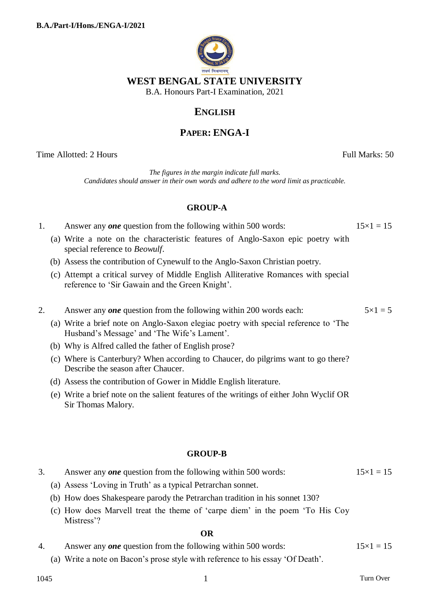

## **ENGLISH**

# **PAPER: ENGA-I**

Time Allotted: 2 Hours Full Marks: 50

*The figures in the margin indicate full marks. Candidates should answer in their own words and adhere to the word limit as practicable.*

### **GROUP-A**

- 1. Answer any *one* question from the following within 500 words:  $15 \times 1 = 15$ 
	- (a) Write a note on the characteristic features of Anglo-Saxon epic poetry with special reference to *Beowulf*.
	- (b) Assess the contribution of Cynewulf to the Anglo-Saxon Christian poetry.
	- (c) Attempt a critical survey of Middle English Alliterative Romances with special reference to 'Sir Gawain and the Green Knight'.
- 2. Answer any *one* question from the following within 200 words each:  $5 \times 1 = 5$ 
	- (a) Write a brief note on Anglo-Saxon elegiac poetry with special reference to 'The Husband's Message' and 'The Wife's Lament'.
	- (b) Why is Alfred called the father of English prose?
	- (c) Where is Canterbury? When according to Chaucer, do pilgrims want to go there? Describe the season after Chaucer.
	- (d) Assess the contribution of Gower in Middle English literature.
	- (e) Write a brief note on the salient features of the writings of either John Wyclif OR Sir Thomas Malory.

#### **GROUP-B**

- 3. Answer any *one* question from the following within 500 words:  $15 \times 1 = 15$ 
	- (a) Assess 'Loving in Truth' as a typical Petrarchan sonnet.
	- (b) How does Shakespeare parody the Petrarchan tradition in his sonnet 130?
	- (c) How does Marvell treat the theme of 'carpe diem' in the poem 'To His Coy Mistress'?

#### **OR**

- 4. Answer any *one* question from the following within 500 words:  $15 \times 1 = 15$ 
	- (a) Write a note on Bacon's prose style with reference to his essay 'Of Death'.